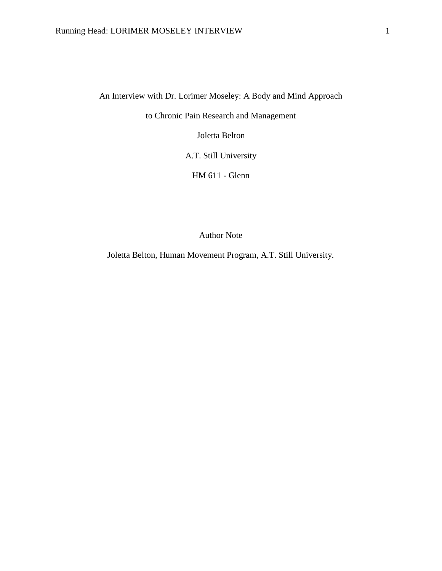An Interview with Dr. Lorimer Moseley: A Body and Mind Approach

to Chronic Pain Research and Management

Joletta Belton

A.T. Still University

HM 611 - Glenn

Author Note

Joletta Belton, Human Movement Program, A.T. Still University.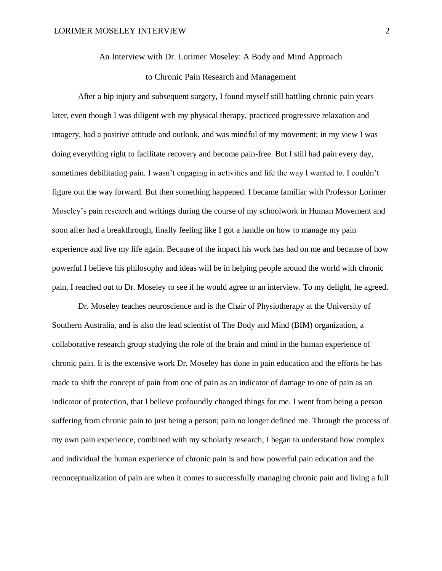An Interview with Dr. Lorimer Moseley: A Body and Mind Approach

# to Chronic Pain Research and Management

After a hip injury and subsequent surgery, I found myself still battling chronic pain years later, even though I was diligent with my physical therapy, practiced progressive relaxation and imagery, had a positive attitude and outlook, and was mindful of my movement; in my view I was doing everything right to facilitate recovery and become pain-free. But I still had pain every day, sometimes debilitating pain. I wasn't engaging in activities and life the way I wanted to. I couldn't figure out the way forward. But then something happened. I became familiar with Professor Lorimer Moseley's pain research and writings during the course of my schoolwork in Human Movement and soon after had a breakthrough, finally feeling like I got a handle on how to manage my pain experience and live my life again. Because of the impact his work has had on me and because of how powerful I believe his philosophy and ideas will be in helping people around the world with chronic pain, I reached out to Dr. Moseley to see if he would agree to an interview. To my delight, he agreed.

Dr. Moseley teaches neuroscience and is the Chair of Physiotherapy at the University of Southern Australia, and is also the lead scientist of The Body and Mind (BIM) organization, a collaborative research group studying the role of the brain and mind in the human experience of chronic pain. It is the extensive work Dr. Moseley has done in pain education and the efforts he has made to shift the concept of pain from one of pain as an indicator of damage to one of pain as an indicator of protection, that I believe profoundly changed things for me. I went from being a person suffering from chronic pain to just being a person; pain no longer defined me. Through the process of my own pain experience, combined with my scholarly research, I began to understand how complex and individual the human experience of chronic pain is and how powerful pain education and the reconceptualization of pain are when it comes to successfully managing chronic pain and living a full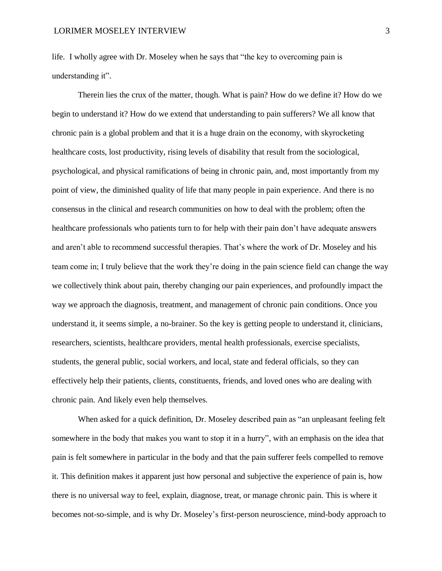life. I wholly agree with Dr. Moseley when he says that "the key to overcoming pain is understanding it".

Therein lies the crux of the matter, though. What is pain? How do we define it? How do we begin to understand it? How do we extend that understanding to pain sufferers? We all know that chronic pain is a global problem and that it is a huge drain on the economy, with skyrocketing healthcare costs, lost productivity, rising levels of disability that result from the sociological, psychological, and physical ramifications of being in chronic pain, and, most importantly from my point of view, the diminished quality of life that many people in pain experience. And there is no consensus in the clinical and research communities on how to deal with the problem; often the healthcare professionals who patients turn to for help with their pain don't have adequate answers and aren't able to recommend successful therapies. That's where the work of Dr. Moseley and his team come in; I truly believe that the work they're doing in the pain science field can change the way we collectively think about pain, thereby changing our pain experiences, and profoundly impact the way we approach the diagnosis, treatment, and management of chronic pain conditions. Once you understand it, it seems simple, a no-brainer. So the key is getting people to understand it, clinicians, researchers, scientists, healthcare providers, mental health professionals, exercise specialists, students, the general public, social workers, and local, state and federal officials, so they can effectively help their patients, clients, constituents, friends, and loved ones who are dealing with chronic pain. And likely even help themselves.

When asked for a quick definition, Dr. Moseley described pain as "an unpleasant feeling felt somewhere in the body that makes you want to stop it in a hurry", with an emphasis on the idea that pain is felt somewhere in particular in the body and that the pain sufferer feels compelled to remove it. This definition makes it apparent just how personal and subjective the experience of pain is, how there is no universal way to feel, explain, diagnose, treat, or manage chronic pain. This is where it becomes not-so-simple, and is why Dr. Moseley's first-person neuroscience, mind-body approach to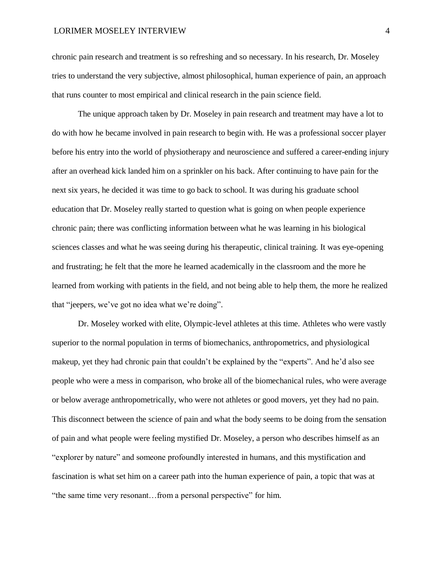chronic pain research and treatment is so refreshing and so necessary. In his research, Dr. Moseley tries to understand the very subjective, almost philosophical, human experience of pain, an approach that runs counter to most empirical and clinical research in the pain science field.

The unique approach taken by Dr. Moseley in pain research and treatment may have a lot to do with how he became involved in pain research to begin with. He was a professional soccer player before his entry into the world of physiotherapy and neuroscience and suffered a career-ending injury after an overhead kick landed him on a sprinkler on his back. After continuing to have pain for the next six years, he decided it was time to go back to school. It was during his graduate school education that Dr. Moseley really started to question what is going on when people experience chronic pain; there was conflicting information between what he was learning in his biological sciences classes and what he was seeing during his therapeutic, clinical training. It was eye-opening and frustrating; he felt that the more he learned academically in the classroom and the more he learned from working with patients in the field, and not being able to help them, the more he realized that "jeepers, we've got no idea what we're doing".

Dr. Moseley worked with elite, Olympic-level athletes at this time. Athletes who were vastly superior to the normal population in terms of biomechanics, anthropometrics, and physiological makeup, yet they had chronic pain that couldn't be explained by the "experts". And he'd also see people who were a mess in comparison, who broke all of the biomechanical rules, who were average or below average anthropometrically, who were not athletes or good movers, yet they had no pain. This disconnect between the science of pain and what the body seems to be doing from the sensation of pain and what people were feeling mystified Dr. Moseley, a person who describes himself as an "explorer by nature" and someone profoundly interested in humans, and this mystification and fascination is what set him on a career path into the human experience of pain, a topic that was at "the same time very resonant…from a personal perspective" for him.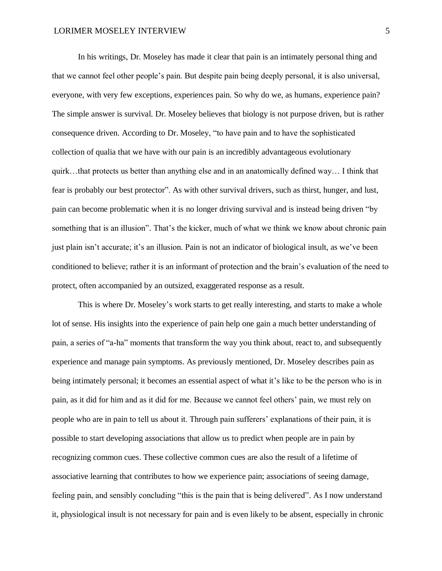In his writings, Dr. Moseley has made it clear that pain is an intimately personal thing and that we cannot feel other people's pain. But despite pain being deeply personal, it is also universal, everyone, with very few exceptions, experiences pain. So why do we, as humans, experience pain? The simple answer is survival. Dr. Moseley believes that biology is not purpose driven, but is rather consequence driven. According to Dr. Moseley, "to have pain and to have the sophisticated collection of qualia that we have with our pain is an incredibly advantageous evolutionary quirk…that protects us better than anything else and in an anatomically defined way… I think that fear is probably our best protector". As with other survival drivers, such as thirst, hunger, and lust, pain can become problematic when it is no longer driving survival and is instead being driven "by something that is an illusion". That's the kicker, much of what we think we know about chronic pain just plain isn't accurate; it's an illusion. Pain is not an indicator of biological insult, as we've been conditioned to believe; rather it is an informant of protection and the brain's evaluation of the need to protect, often accompanied by an outsized, exaggerated response as a result.

This is where Dr. Moseley's work starts to get really interesting, and starts to make a whole lot of sense. His insights into the experience of pain help one gain a much better understanding of pain, a series of "a-ha" moments that transform the way you think about, react to, and subsequently experience and manage pain symptoms. As previously mentioned, Dr. Moseley describes pain as being intimately personal; it becomes an essential aspect of what it's like to be the person who is in pain, as it did for him and as it did for me. Because we cannot feel others' pain, we must rely on people who are in pain to tell us about it. Through pain sufferers' explanations of their pain, it is possible to start developing associations that allow us to predict when people are in pain by recognizing common cues. These collective common cues are also the result of a lifetime of associative learning that contributes to how we experience pain; associations of seeing damage, feeling pain, and sensibly concluding "this is the pain that is being delivered". As I now understand it, physiological insult is not necessary for pain and is even likely to be absent, especially in chronic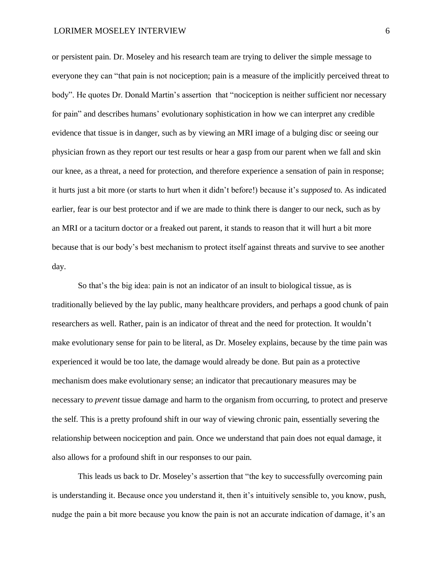or persistent pain. Dr. Moseley and his research team are trying to deliver the simple message to everyone they can "that pain is not nociception; pain is a measure of the implicitly perceived threat to body". He quotes Dr. Donald Martin's assertion that "nociception is neither sufficient nor necessary for pain" and describes humans' evolutionary sophistication in how we can interpret any credible evidence that tissue is in danger, such as by viewing an MRI image of a bulging disc or seeing our physician frown as they report our test results or hear a gasp from our parent when we fall and skin our knee, as a threat, a need for protection, and therefore experience a sensation of pain in response; it hurts just a bit more (or starts to hurt when it didn't before!) because it's *supposed* to. As indicated earlier, fear is our best protector and if we are made to think there is danger to our neck, such as by an MRI or a taciturn doctor or a freaked out parent, it stands to reason that it will hurt a bit more because that is our body's best mechanism to protect itself against threats and survive to see another day.

So that's the big idea: pain is not an indicator of an insult to biological tissue, as is traditionally believed by the lay public, many healthcare providers, and perhaps a good chunk of pain researchers as well. Rather, pain is an indicator of threat and the need for protection. It wouldn't make evolutionary sense for pain to be literal, as Dr. Moseley explains, because by the time pain was experienced it would be too late, the damage would already be done. But pain as a protective mechanism does make evolutionary sense; an indicator that precautionary measures may be necessary to *prevent* tissue damage and harm to the organism from occurring, to protect and preserve the self. This is a pretty profound shift in our way of viewing chronic pain, essentially severing the relationship between nociception and pain. Once we understand that pain does not equal damage, it also allows for a profound shift in our responses to our pain.

This leads us back to Dr. Moseley's assertion that "the key to successfully overcoming pain is understanding it. Because once you understand it, then it's intuitively sensible to, you know, push, nudge the pain a bit more because you know the pain is not an accurate indication of damage, it's an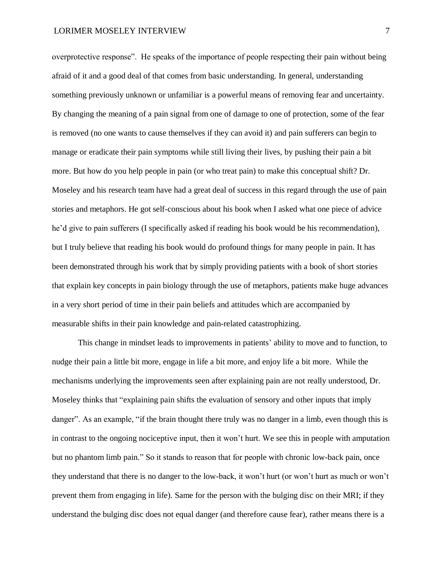overprotective response". He speaks of the importance of people respecting their pain without being afraid of it and a good deal of that comes from basic understanding. In general, understanding something previously unknown or unfamiliar is a powerful means of removing fear and uncertainty. By changing the meaning of a pain signal from one of damage to one of protection, some of the fear is removed (no one wants to cause themselves if they can avoid it) and pain sufferers can begin to manage or eradicate their pain symptoms while still living their lives, by pushing their pain a bit more. But how do you help people in pain (or who treat pain) to make this conceptual shift? Dr. Moseley and his research team have had a great deal of success in this regard through the use of pain stories and metaphors. He got self-conscious about his book when I asked what one piece of advice he'd give to pain sufferers (I specifically asked if reading his book would be his recommendation), but I truly believe that reading his book would do profound things for many people in pain. It has been demonstrated through his work that by simply providing patients with a book of short stories that explain key concepts in pain biology through the use of metaphors, patients make huge advances in a very short period of time in their pain beliefs and attitudes which are accompanied by measurable shifts in their pain knowledge and pain-related catastrophizing.

This change in mindset leads to improvements in patients' ability to move and to function, to nudge their pain a little bit more, engage in life a bit more, and enjoy life a bit more. While the mechanisms underlying the improvements seen after explaining pain are not really understood, Dr. Moseley thinks that "explaining pain shifts the evaluation of sensory and other inputs that imply danger". As an example, "if the brain thought there truly was no danger in a limb, even though this is in contrast to the ongoing nociceptive input, then it won't hurt. We see this in people with amputation but no phantom limb pain." So it stands to reason that for people with chronic low-back pain, once they understand that there is no danger to the low-back, it won't hurt (or won't hurt as much or won't prevent them from engaging in life). Same for the person with the bulging disc on their MRI; if they understand the bulging disc does not equal danger (and therefore cause fear), rather means there is a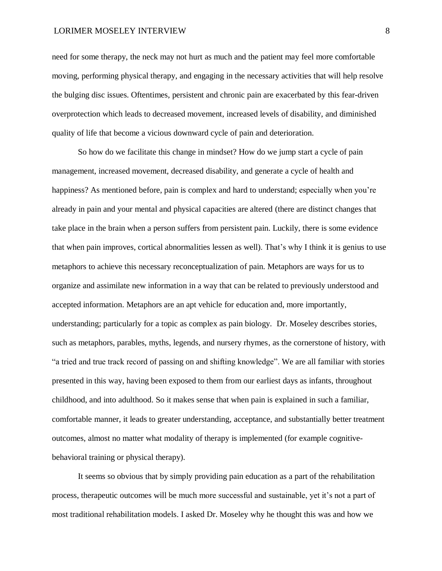need for some therapy, the neck may not hurt as much and the patient may feel more comfortable moving, performing physical therapy, and engaging in the necessary activities that will help resolve the bulging disc issues. Oftentimes, persistent and chronic pain are exacerbated by this fear-driven overprotection which leads to decreased movement, increased levels of disability, and diminished quality of life that become a vicious downward cycle of pain and deterioration.

So how do we facilitate this change in mindset? How do we jump start a cycle of pain management, increased movement, decreased disability, and generate a cycle of health and happiness? As mentioned before, pain is complex and hard to understand; especially when you're already in pain and your mental and physical capacities are altered (there are distinct changes that take place in the brain when a person suffers from persistent pain. Luckily, there is some evidence that when pain improves, cortical abnormalities lessen as well). That's why I think it is genius to use metaphors to achieve this necessary reconceptualization of pain. Metaphors are ways for us to organize and assimilate new information in a way that can be related to previously understood and accepted information. Metaphors are an apt vehicle for education and, more importantly, understanding; particularly for a topic as complex as pain biology. Dr. Moseley describes stories, such as metaphors, parables, myths, legends, and nursery rhymes, as the cornerstone of history, with "a tried and true track record of passing on and shifting knowledge". We are all familiar with stories presented in this way, having been exposed to them from our earliest days as infants, throughout childhood, and into adulthood. So it makes sense that when pain is explained in such a familiar, comfortable manner, it leads to greater understanding, acceptance, and substantially better treatment outcomes, almost no matter what modality of therapy is implemented (for example cognitivebehavioral training or physical therapy).

It seems so obvious that by simply providing pain education as a part of the rehabilitation process, therapeutic outcomes will be much more successful and sustainable, yet it's not a part of most traditional rehabilitation models. I asked Dr. Moseley why he thought this was and how we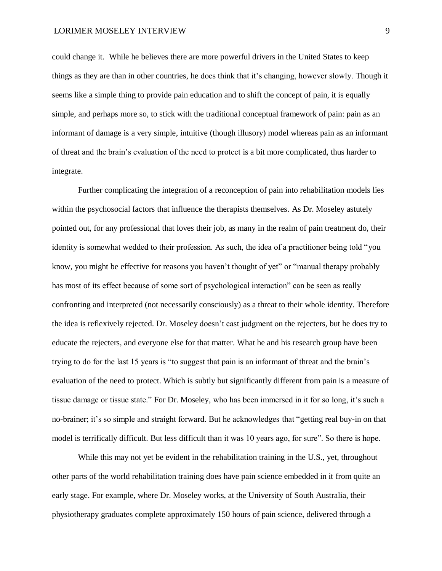could change it. While he believes there are more powerful drivers in the United States to keep things as they are than in other countries, he does think that it's changing, however slowly. Though it seems like a simple thing to provide pain education and to shift the concept of pain, it is equally simple, and perhaps more so, to stick with the traditional conceptual framework of pain: pain as an informant of damage is a very simple, intuitive (though illusory) model whereas pain as an informant of threat and the brain's evaluation of the need to protect is a bit more complicated, thus harder to integrate.

Further complicating the integration of a reconception of pain into rehabilitation models lies within the psychosocial factors that influence the therapists themselves. As Dr. Moseley astutely pointed out, for any professional that loves their job, as many in the realm of pain treatment do, their identity is somewhat wedded to their profession. As such, the idea of a practitioner being told "you know, you might be effective for reasons you haven't thought of yet" or "manual therapy probably has most of its effect because of some sort of psychological interaction" can be seen as really confronting and interpreted (not necessarily consciously) as a threat to their whole identity. Therefore the idea is reflexively rejected. Dr. Moseley doesn't cast judgment on the rejecters, but he does try to educate the rejecters, and everyone else for that matter. What he and his research group have been trying to do for the last 15 years is "to suggest that pain is an informant of threat and the brain's evaluation of the need to protect. Which is subtly but significantly different from pain is a measure of tissue damage or tissue state." For Dr. Moseley, who has been immersed in it for so long, it's such a no-brainer; it's so simple and straight forward. But he acknowledges that "getting real buy-in on that model is terrifically difficult. But less difficult than it was 10 years ago, for sure". So there is hope.

While this may not yet be evident in the rehabilitation training in the U.S., yet, throughout other parts of the world rehabilitation training does have pain science embedded in it from quite an early stage. For example, where Dr. Moseley works, at the University of South Australia, their physiotherapy graduates complete approximately 150 hours of pain science, delivered through a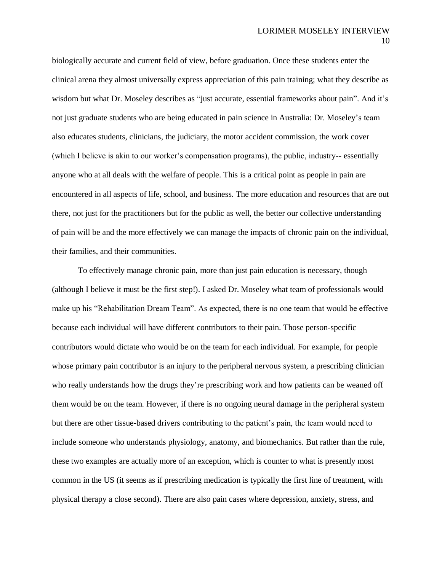biologically accurate and current field of view, before graduation. Once these students enter the clinical arena they almost universally express appreciation of this pain training; what they describe as wisdom but what Dr. Moseley describes as "just accurate, essential frameworks about pain". And it's not just graduate students who are being educated in pain science in Australia: Dr. Moseley's team also educates students, clinicians, the judiciary, the motor accident commission, the work cover (which I believe is akin to our worker's compensation programs), the public, industry-- essentially anyone who at all deals with the welfare of people. This is a critical point as people in pain are encountered in all aspects of life, school, and business. The more education and resources that are out there, not just for the practitioners but for the public as well, the better our collective understanding of pain will be and the more effectively we can manage the impacts of chronic pain on the individual, their families, and their communities.

To effectively manage chronic pain, more than just pain education is necessary, though (although I believe it must be the first step!). I asked Dr. Moseley what team of professionals would make up his "Rehabilitation Dream Team". As expected, there is no one team that would be effective because each individual will have different contributors to their pain. Those person-specific contributors would dictate who would be on the team for each individual. For example, for people whose primary pain contributor is an injury to the peripheral nervous system, a prescribing clinician who really understands how the drugs they're prescribing work and how patients can be weaned off them would be on the team. However, if there is no ongoing neural damage in the peripheral system but there are other tissue-based drivers contributing to the patient's pain, the team would need to include someone who understands physiology, anatomy, and biomechanics. But rather than the rule, these two examples are actually more of an exception, which is counter to what is presently most common in the US (it seems as if prescribing medication is typically the first line of treatment, with physical therapy a close second). There are also pain cases where depression, anxiety, stress, and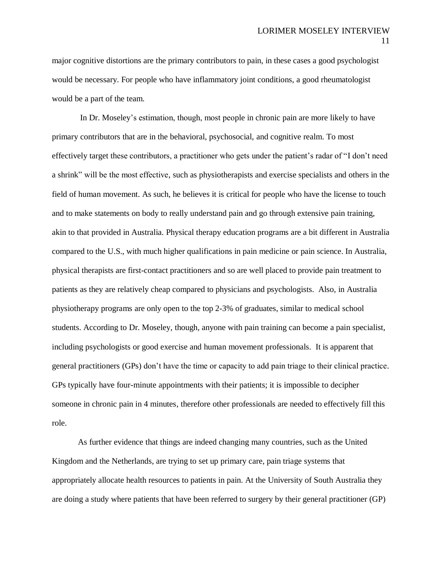major cognitive distortions are the primary contributors to pain, in these cases a good psychologist would be necessary. For people who have inflammatory joint conditions, a good rheumatologist would be a part of the team.

In Dr. Moseley's estimation, though, most people in chronic pain are more likely to have primary contributors that are in the behavioral, psychosocial, and cognitive realm. To most effectively target these contributors, a practitioner who gets under the patient's radar of "I don't need a shrink" will be the most effective, such as physiotherapists and exercise specialists and others in the field of human movement. As such, he believes it is critical for people who have the license to touch and to make statements on body to really understand pain and go through extensive pain training, akin to that provided in Australia. Physical therapy education programs are a bit different in Australia compared to the U.S., with much higher qualifications in pain medicine or pain science. In Australia, physical therapists are first-contact practitioners and so are well placed to provide pain treatment to patients as they are relatively cheap compared to physicians and psychologists. Also, in Australia physiotherapy programs are only open to the top 2-3% of graduates, similar to medical school students. According to Dr. Moseley, though, anyone with pain training can become a pain specialist, including psychologists or good exercise and human movement professionals. It is apparent that general practitioners (GPs) don't have the time or capacity to add pain triage to their clinical practice. GPs typically have four-minute appointments with their patients; it is impossible to decipher someone in chronic pain in 4 minutes, therefore other professionals are needed to effectively fill this role.

As further evidence that things are indeed changing many countries, such as the United Kingdom and the Netherlands, are trying to set up primary care, pain triage systems that appropriately allocate health resources to patients in pain. At the University of South Australia they are doing a study where patients that have been referred to surgery by their general practitioner (GP)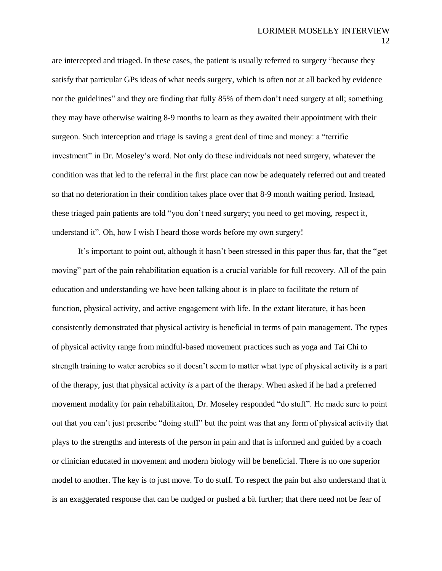are intercepted and triaged. In these cases, the patient is usually referred to surgery "because they satisfy that particular GPs ideas of what needs surgery, which is often not at all backed by evidence nor the guidelines" and they are finding that fully 85% of them don't need surgery at all; something they may have otherwise waiting 8-9 months to learn as they awaited their appointment with their surgeon. Such interception and triage is saving a great deal of time and money: a "terrific investment" in Dr. Moseley's word. Not only do these individuals not need surgery, whatever the condition was that led to the referral in the first place can now be adequately referred out and treated so that no deterioration in their condition takes place over that 8-9 month waiting period. Instead, these triaged pain patients are told "you don't need surgery; you need to get moving, respect it, understand it". Oh, how I wish I heard those words before my own surgery!

It's important to point out, although it hasn't been stressed in this paper thus far, that the "get moving" part of the pain rehabilitation equation is a crucial variable for full recovery. All of the pain education and understanding we have been talking about is in place to facilitate the return of function, physical activity, and active engagement with life. In the extant literature, it has been consistently demonstrated that physical activity is beneficial in terms of pain management. The types of physical activity range from mindful-based movement practices such as yoga and Tai Chi to strength training to water aerobics so it doesn't seem to matter what type of physical activity is a part of the therapy, just that physical activity *is* a part of the therapy. When asked if he had a preferred movement modality for pain rehabilitaiton, Dr. Moseley responded "do stuff". He made sure to point out that you can't just prescribe "doing stuff" but the point was that any form of physical activity that plays to the strengths and interests of the person in pain and that is informed and guided by a coach or clinician educated in movement and modern biology will be beneficial. There is no one superior model to another. The key is to just move. To do stuff. To respect the pain but also understand that it is an exaggerated response that can be nudged or pushed a bit further; that there need not be fear of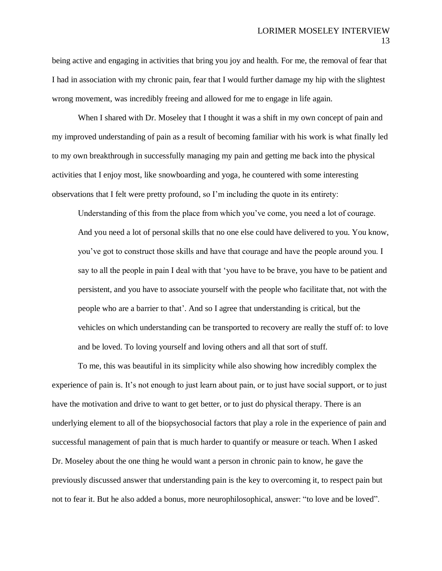being active and engaging in activities that bring you joy and health. For me, the removal of fear that I had in association with my chronic pain, fear that I would further damage my hip with the slightest wrong movement, was incredibly freeing and allowed for me to engage in life again.

When I shared with Dr. Moseley that I thought it was a shift in my own concept of pain and my improved understanding of pain as a result of becoming familiar with his work is what finally led to my own breakthrough in successfully managing my pain and getting me back into the physical activities that I enjoy most, like snowboarding and yoga, he countered with some interesting observations that I felt were pretty profound, so I'm including the quote in its entirety:

Understanding of this from the place from which you've come, you need a lot of courage. And you need a lot of personal skills that no one else could have delivered to you. You know, you've got to construct those skills and have that courage and have the people around you. I say to all the people in pain I deal with that 'you have to be brave, you have to be patient and persistent, and you have to associate yourself with the people who facilitate that, not with the people who are a barrier to that'. And so I agree that understanding is critical, but the vehicles on which understanding can be transported to recovery are really the stuff of: to love and be loved. To loving yourself and loving others and all that sort of stuff.

To me, this was beautiful in its simplicity while also showing how incredibly complex the experience of pain is. It's not enough to just learn about pain, or to just have social support, or to just have the motivation and drive to want to get better, or to just do physical therapy. There is an underlying element to all of the biopsychosocial factors that play a role in the experience of pain and successful management of pain that is much harder to quantify or measure or teach. When I asked Dr. Moseley about the one thing he would want a person in chronic pain to know, he gave the previously discussed answer that understanding pain is the key to overcoming it, to respect pain but not to fear it. But he also added a bonus, more neurophilosophical, answer: "to love and be loved".